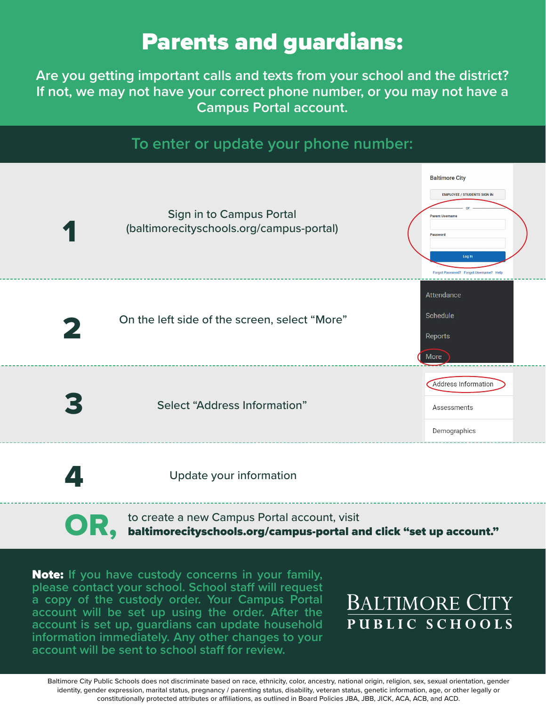# Parents and guardians:

**Are you getting important calls and texts from your school and the district? If not, we may not have your correct phone number, or you may not have a Campus Portal account.**

### **To enter or update your phone number:**



Update your information

OR, to create a new Campus Portal account, visit baltimorecityschools.org/campus-portal and click "set up account."

Note: **If you have custody concerns in your family, please contact your school. School staff will request a copy of the custody order. Your Campus Portal account will be set up using the order. After the account is set up, guardians can update household information immediately. Any other changes to your account will be sent to school staff for review.**

## **BALTIMORE CITY** PUBLIC SCHOOLS

Baltimore City Public Schools does not discriminate based on race, ethnicity, color, ancestry, national origin, religion, sex, sexual orientation, gender identity, gender expression, marital status, pregnancy / parenting status, disability, veteran status, genetic information, age, or other legally or constitutionally protected attributes or affiliations, as outlined in Board Policies JBA, JBB, JICK, ACA, ACB, and ACD.